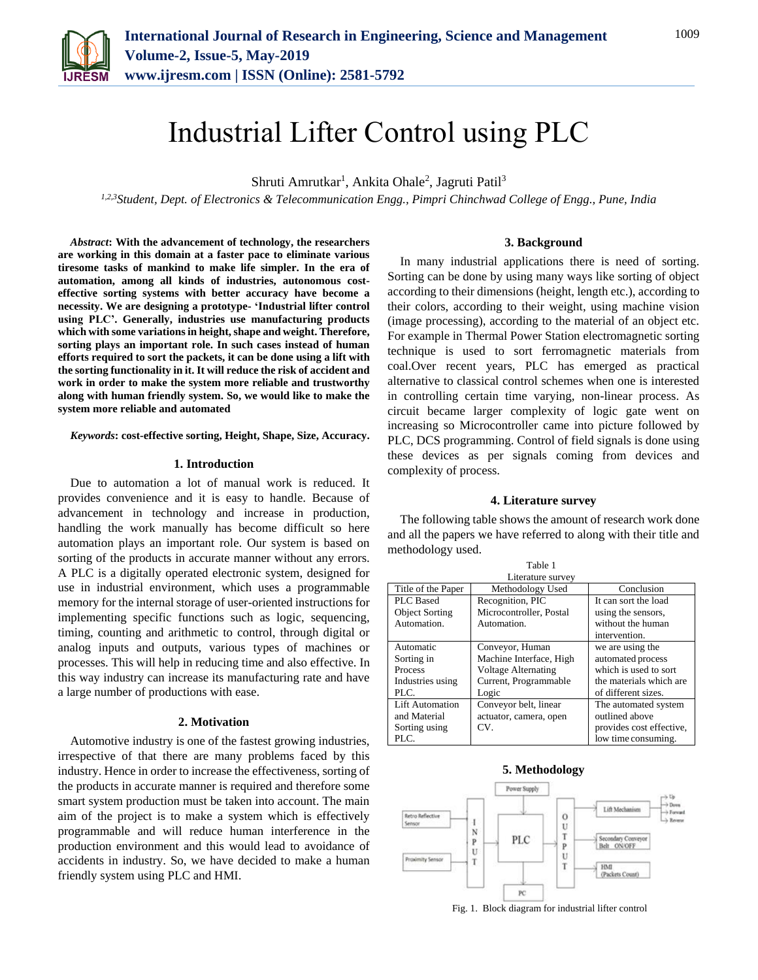

# Industrial Lifter Control using PLC

Shruti Amrutkar<sup>1</sup>, Ankita Ohale<sup>2</sup>, Jagruti Patil<sup>3</sup>

*1,2,3Student, Dept. of Electronics & Telecommunication Engg., Pimpri Chinchwad College of Engg., Pune, India*

*Abstract***: With the advancement of technology, the researchers are working in this domain at a faster pace to eliminate various tiresome tasks of mankind to make life simpler. In the era of automation, among all kinds of industries, autonomous costeffective sorting systems with better accuracy have become a necessity. We are designing a prototype- 'Industrial lifter control using PLC'. Generally, industries use manufacturing products which with some variations in height, shape and weight. Therefore, sorting plays an important role. In such cases instead of human efforts required to sort the packets, it can be done using a lift with the sorting functionality in it. It will reduce the risk of accident and work in order to make the system more reliable and trustworthy along with human friendly system. So, we would like to make the system more reliable and automated**

*Keywords***: cost-effective sorting, Height, Shape, Size, Accuracy.**

#### **1. Introduction**

Due to automation a lot of manual work is reduced. It provides convenience and it is easy to handle. Because of advancement in technology and increase in production, handling the work manually has become difficult so here automation plays an important role. Our system is based on sorting of the products in accurate manner without any errors. A PLC is a digitally operated electronic system, designed for use in industrial environment, which uses a programmable memory for the internal storage of user-oriented instructions for implementing specific functions such as logic, sequencing, timing, counting and arithmetic to control, through digital or analog inputs and outputs, various types of machines or processes. This will help in reducing time and also effective. In this way industry can increase its manufacturing rate and have a large number of productions with ease.

#### **2. Motivation**

Automotive industry is one of the fastest growing industries, irrespective of that there are many problems faced by this industry. Hence in order to increase the effectiveness, sorting of the products in accurate manner is required and therefore some smart system production must be taken into account. The main aim of the project is to make a system which is effectively programmable and will reduce human interference in the production environment and this would lead to avoidance of accidents in industry. So, we have decided to make a human friendly system using PLC and HMI.

#### **3. Background**

In many industrial applications there is need of sorting. Sorting can be done by using many ways like sorting of object according to their dimensions (height, length etc.), according to their colors, according to their weight, using machine vision (image processing), according to the material of an object etc. For example in Thermal Power Station electromagnetic sorting technique is used to sort ferromagnetic materials from coal.Over recent years, PLC has emerged as practical alternative to classical control schemes when one is interested in controlling certain time varying, non-linear process. As circuit became larger complexity of logic gate went on increasing so Microcontroller came into picture followed by PLC, DCS programming. Control of field signals is done using these devices as per signals coming from devices and complexity of process.

#### **4. Literature survey**

The following table shows the amount of research work done and all the papers we have referred to along with their title and methodology used.

| Table 1                |                            |                          |
|------------------------|----------------------------|--------------------------|
| Literature survey      |                            |                          |
| Title of the Paper     | Methodology Used           | Conclusion               |
| PLC Based              | Recognition, PIC           | It can sort the load     |
| <b>Object Sorting</b>  | Microcontroller, Postal    | using the sensors,       |
| Automation.            | Automation.                | without the human        |
|                        |                            | intervention.            |
| Automatic              | Conveyor, Human            | we are using the         |
| Sorting in             | Machine Interface, High    | automated process        |
| Process                | <b>Voltage Alternating</b> | which is used to sort    |
| Industries using       | Current, Programmable      | the materials which are  |
| $PLC$ .                | Logic                      | of different sizes.      |
| <b>Lift Automation</b> | Conveyor belt, linear      | The automated system     |
| and Material           | actuator, camera, open     | outlined above           |
| Sorting using          | CV.                        | provides cost effective, |
| PLC.                   |                            | low time consuming.      |



Fig. 1. Block diagram for industrial lifter control